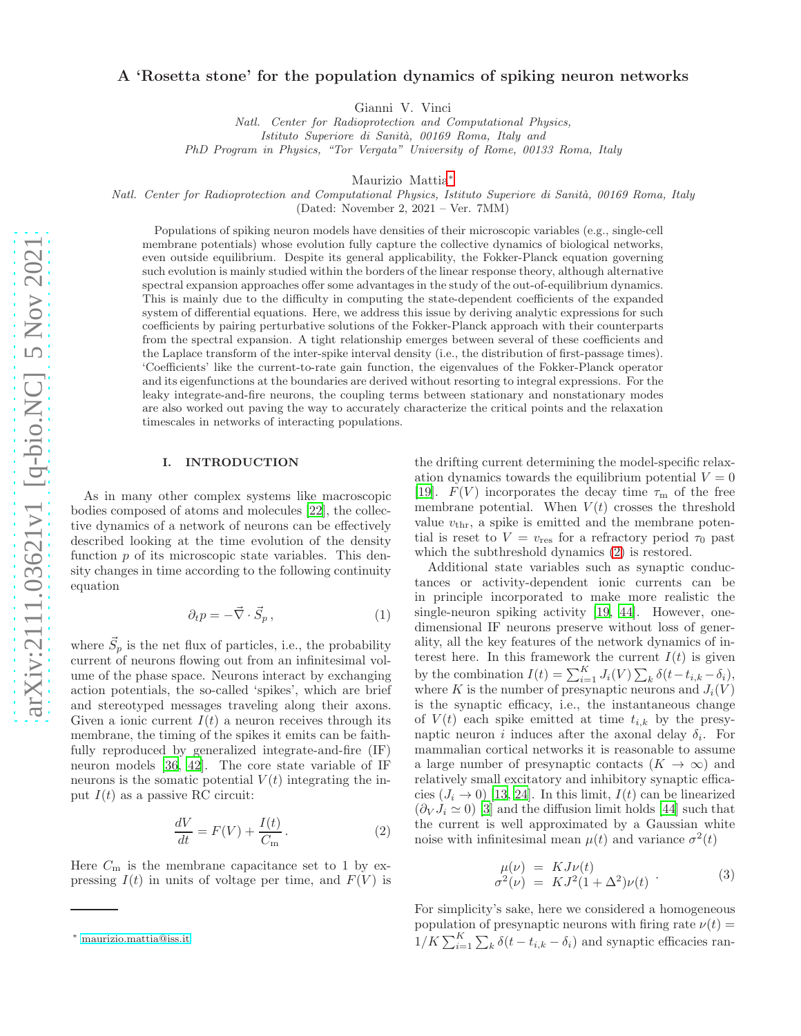## A 'Rosetta stone' for the population dynamics of spiking neuron networks

Gianni V. Vinci

*Natl. Center for Radioprotection and Computational Physics, Istituto Superiore di Sanit`a, 00169 Roma, Italy and PhD Program in Physics, "Tor Vergata" University of Rome, 00133 Roma, Italy*

Maurizio Mattia[∗](#page-0-0)

*Natl. Center for Radioprotection and Computational Physics, Istituto Superiore di Sanit`a, 00169 Roma, Italy*

(Dated: November 2, 2021 – Ver. 7MM)

Populations of spiking neuron models have densities of their microscopic variables (e.g., single-cell membrane potentials) whose evolution fully capture the collective dynamics of biological networks, even outside equilibrium. Despite its general applicability, the Fokker-Planck equation governing such evolution is mainly studied within the borders of the linear response theory, although alternative spectral expansion approaches offer some advantages in the study of the out-of-equilibrium dynamics. This is mainly due to the difficulty in computing the state-dependent coefficients of the expanded system of differential equations. Here, we address this issue by deriving analytic expressions for such coefficients by pairing perturbative solutions of the Fokker-Planck approach with their counterparts from the spectral expansion. A tight relationship emerges between several of these coefficients and the Laplace transform of the inter-spike interval density (i.e., the distribution of first-passage times). 'Coefficients' like the current-to-rate gain function, the eigenvalues of the Fokker-Planck operator and its eigenfunctions at the boundaries are derived without resorting to integral expressions. For the leaky integrate-and-fire neurons, the coupling terms between stationary and nonstationary modes are also worked out paving the way to accurately characterize the critical points and the relaxation timescales in networks of interacting populations.

### I. INTRODUCTION

As in many other complex systems like macroscopic bodies composed of atoms and molecules [\[22\]](#page-10-0), the collective dynamics of a network of neurons can be effectively described looking at the time evolution of the density function p of its microscopic state variables. This density changes in time according to the following continuity equation

<span id="page-0-3"></span>
$$
\partial_t p = -\vec{\nabla} \cdot \vec{S}_p \,,\tag{1}
$$

where  $\vec{S}_p$  is the net flux of particles, i.e., the probability current of neurons flowing out from an infinitesimal volume of the phase space. Neurons interact by exchanging action potentials, the so-called 'spikes', which are brief and stereotyped messages traveling along their axons. Given a ionic current  $I(t)$  a neuron receives through its membrane, the timing of the spikes it emits can be faithfully reproduced by generalized integrate-and-fire (IF) neuron models [\[36](#page-10-1), [42\]](#page-10-2). The core state variable of IF neurons is the somatic potential  $V(t)$  integrating the input  $I(t)$  as a passive RC circuit:

<span id="page-0-1"></span>
$$
\frac{dV}{dt} = F(V) + \frac{I(t)}{C_{\text{m}}}.
$$
\n(2)

Here  $C_m$  is the membrane capacitance set to 1 by expressing  $I(t)$  in units of voltage per time, and  $F(V)$  is the drifting current determining the model-specific relaxation dynamics towards the equilibrium potential  $V = 0$ [\[19\]](#page-9-0).  $F(V)$  incorporates the decay time  $\tau_{\rm m}$  of the free membrane potential. When  $V(t)$  crosses the threshold value  $v_{\text{thr}}$ , a spike is emitted and the membrane potential is reset to  $V = v_{\text{res}}$  for a refractory period  $\tau_0$  past which the subthreshold dynamics [\(2\)](#page-0-1) is restored.

Additional state variables such as synaptic conductances or activity-dependent ionic currents can be in principle incorporated to make more realistic the single-neuron spiking activity [\[19](#page-9-0), [44\]](#page-10-3). However, onedimensional IF neurons preserve without loss of generality, all the key features of the network dynamics of interest here. In this framework the current  $I(t)$  is given by the combination  $I(t) = \sum_{i=1}^{K} J_i(V) \sum_{k} \delta(t - t_{i,k} - \delta_i),$ where K is the number of presynaptic neurons and  $J_i(V)$ is the synaptic efficacy, i.e., the instantaneous change of  $V(t)$  each spike emitted at time  $t_{i,k}$  by the presynaptic neuron *i* induces after the axonal delay  $\delta_i$ . For mammalian cortical networks it is reasonable to assume a large number of presynaptic contacts  $(K \to \infty)$  and relatively small excitatory and inhibitory synaptic efficacies  $(J_i \rightarrow 0)$  [\[13,](#page-9-1) [24\]](#page-10-4). In this limit,  $I(t)$  can be linearized  $(\partial_V J_i \simeq 0)$  [\[3\]](#page-9-2) and the diffusion limit holds [\[44\]](#page-10-3) such that the current is well approximated by a Gaussian white noise with infinitesimal mean  $\mu(t)$  and variance  $\sigma^2(t)$ 

<span id="page-0-2"></span>
$$
\mu(\nu) = KJ\nu(t) \n\sigma^2(\nu) = KJ^2(1+\Delta^2)\nu(t)
$$
\n(3)

For simplicity's sake, here we considered a homogeneous population of presynaptic neurons with firing rate  $\nu(t) =$  $1/K \sum_{i=1}^{K} \sum_{k} \delta(t - t_{i,k} - \delta_i)$  and synaptic efficacies ran-

<span id="page-0-0"></span><sup>∗</sup> [maurizio.mattia@iss.it](mailto:maurizio.mattia@iss.it)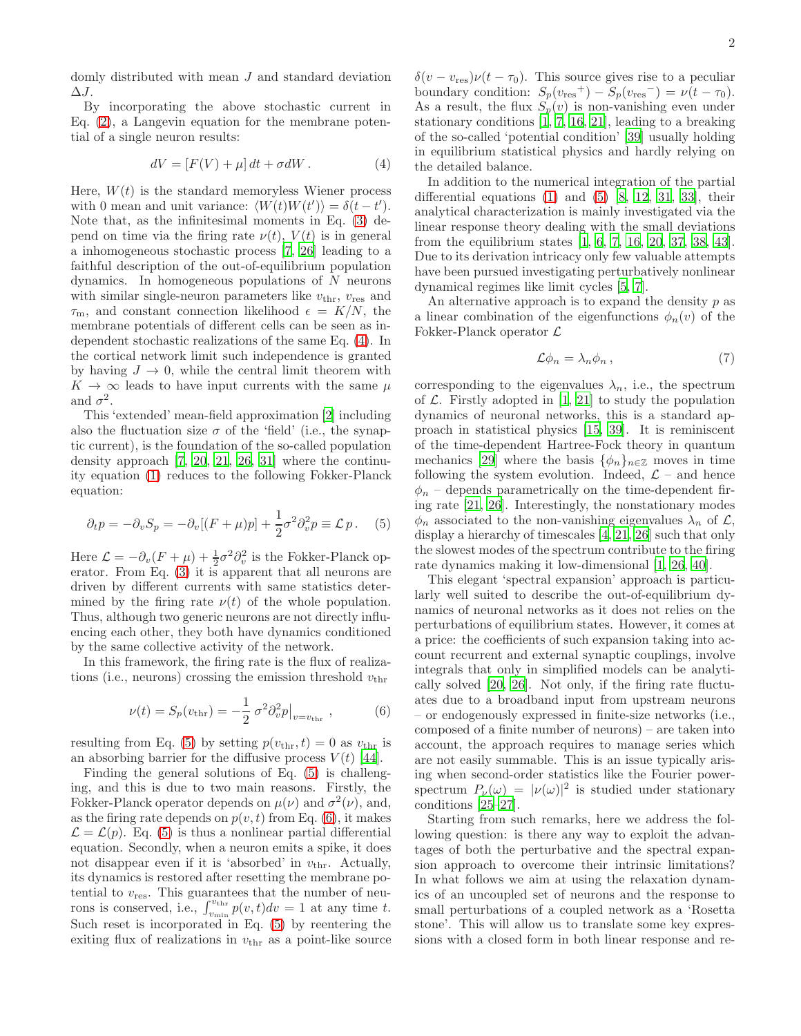domly distributed with mean  $J$  and standard deviation  $\Delta J$ .

By incorporating the above stochastic current in Eq. [\(2\)](#page-0-1), a Langevin equation for the membrane potential of a single neuron results:

<span id="page-1-0"></span>
$$
dV = [F(V) + \mu] dt + \sigma dW.
$$
 (4)

Here,  $W(t)$  is the standard memoryless Wiener process with 0 mean and unit variance:  $\langle W(t)W(t') \rangle = \delta(t - t').$ Note that, as the infinitesimal moments in Eq. [\(3\)](#page-0-2) depend on time via the firing rate  $\nu(t)$ ,  $V(t)$  is in general a inhomogeneous stochastic process [\[7,](#page-9-3) [26\]](#page-10-5) leading to a faithful description of the out-of-equilibrium population dynamics. In homogeneous populations of  $N$  neurons with similar single-neuron parameters like  $v_{\text{thr}}$ ,  $v_{\text{res}}$  and  $\tau_{\rm m}$ , and constant connection likelihood  $\epsilon = K/N$ , the membrane potentials of different cells can be seen as independent stochastic realizations of the same Eq. [\(4\)](#page-1-0). In the cortical network limit such independence is granted by having  $J \to 0$ , while the central limit theorem with  $K \to \infty$  leads to have input currents with the same  $\mu$ and  $\sigma^2$ .

This 'extended' mean-field approximation [\[2\]](#page-9-4) including also the fluctuation size  $\sigma$  of the 'field' (i.e., the synaptic current), is the foundation of the so-called population density approach [\[7,](#page-9-3) [20,](#page-9-5) [21,](#page-10-6) [26,](#page-10-5) [31\]](#page-10-7) where the continuity equation [\(1\)](#page-0-3) reduces to the following Fokker-Planck equation:

<span id="page-1-1"></span>
$$
\partial_t p = -\partial_v S_p = -\partial_v [(F + \mu)p] + \frac{1}{2} \sigma^2 \partial_v^2 p \equiv \mathcal{L} p \,. \tag{5}
$$

Here  $\mathcal{L} = -\partial_v (F + \mu) + \frac{1}{2} \sigma^2 \partial_v^2$  is the Fokker-Planck operator. From Eq. [\(3\)](#page-0-2) it is apparent that all neurons are driven by different currents with same statistics determined by the firing rate  $\nu(t)$  of the whole population. Thus, although two generic neurons are not directly influencing each other, they both have dynamics conditioned by the same collective activity of the network.

In this framework, the firing rate is the flux of realizations (i.e., neurons) crossing the emission threshold  $v_{\text{thr}}$ 

<span id="page-1-2"></span>
$$
\nu(t) = S_p(v_{\text{thr}}) = -\frac{1}{2} \sigma^2 \partial_v^2 p \big|_{v = v_{\text{thr}}} , \qquad (6)
$$

resulting from Eq. [\(5\)](#page-1-1) by setting  $p(v_{\text{thr}}, t) = 0$  as  $v_{\text{thr}}$  is an absorbing barrier for the diffusive process  $V(t)$  [\[44\]](#page-10-3).

Finding the general solutions of Eq. [\(5\)](#page-1-1) is challenging, and this is due to two main reasons. Firstly, the Fokker-Planck operator depends on  $\mu(\nu)$  and  $\sigma^2(\nu)$ , and, as the firing rate depends on  $p(v, t)$  from Eq. [\(6\)](#page-1-2), it makes  $\mathcal{L} = \mathcal{L}(p)$ . Eq. [\(5\)](#page-1-1) is thus a nonlinear partial differential equation. Secondly, when a neuron emits a spike, it does not disappear even if it is 'absorbed' in  $v_{\text{thr}}$ . Actually, its dynamics is restored after resetting the membrane potential to  $v_{\text{res}}$ . This guarantees that the number of neurons is conserved, i.e.,  $\int_{v_{\min}}^{v_{\text{thr}}} p(v, t) dv = 1$  at any time t. Such reset is incorporated in Eq. [\(5\)](#page-1-1) by reentering the exiting flux of realizations in  $v_{\text{thr}}$  as a point-like source  $\delta(v - v_{\text{res}})\nu(t - \tau_0)$ . This source gives rise to a peculiar boundary condition:  $S_p(v_{\text{res}}^+) - S_p(v_{\text{res}}^-) = \nu(t - \tau_0)$ . As a result, the flux  $S_p(v)$  is non-vanishing even under stationary conditions  $[1, 7, 16, 21]$  $[1, 7, 16, 21]$  $[1, 7, 16, 21]$  $[1, 7, 16, 21]$  $[1, 7, 16, 21]$  $[1, 7, 16, 21]$ , leading to a breaking of the so-called 'potential condition' [\[39\]](#page-10-8) usually holding in equilibrium statistical physics and hardly relying on the detailed balance.

In addition to the numerical integration of the partial differential equations  $(1)$  and  $(5)$   $[8, 12, 31, 33]$  $[8, 12, 31, 33]$  $[8, 12, 31, 33]$  $[8, 12, 31, 33]$  $[8, 12, 31, 33]$ , their analytical characterization is mainly investigated via the linear response theory dealing with the small deviations from the equilibrium states [\[1,](#page-9-6) [6](#page-9-10), [7,](#page-9-3) [16,](#page-9-7) [20,](#page-9-5) [37](#page-10-10), [38,](#page-10-11) [43\]](#page-10-12). Due to its derivation intricacy only few valuable attempts have been pursued investigating perturbatively nonlinear dynamical regimes like limit cycles [\[5](#page-9-11), [7](#page-9-3)].

An alternative approach is to expand the density  $p$  as a linear combination of the eigenfunctions  $\phi_n(v)$  of the Fokker-Planck operator  $\mathcal{L}$ 

<span id="page-1-3"></span>
$$
\mathcal{L}\phi_n = \lambda_n \phi_n , \qquad (7)
$$

corresponding to the eigenvalues  $\lambda_n$ , i.e., the spectrum of  $\mathcal{L}$ . Firstly adopted in [\[1,](#page-9-6) [21](#page-10-6)] to study the population dynamics of neuronal networks, this is a standard approach in statistical physics [\[15,](#page-9-12) [39\]](#page-10-8). It is reminiscent of the time-dependent Hartree-Fock theory in quantum mechanics [\[29](#page-10-13)] where the basis  $\{\phi_n\}_{n\in\mathbb{Z}}$  moves in time following the system evolution. Indeed,  $\mathcal{L}$  – and hence  $\phi_n$  – depends parametrically on the time-dependent firing rate [\[21](#page-10-6), [26](#page-10-5)]. Interestingly, the nonstationary modes  $\phi_n$  associated to the non-vanishing eigenvalues  $\lambda_n$  of  $\mathcal{L}$ , display a hierarchy of timescales [\[4](#page-9-13), [21](#page-10-6), [26\]](#page-10-5) such that only the slowest modes of the spectrum contribute to the firing rate dynamics making it low-dimensional [\[1](#page-9-6), [26](#page-10-5), [40\]](#page-10-14).

This elegant 'spectral expansion' approach is particularly well suited to describe the out-of-equilibrium dynamics of neuronal networks as it does not relies on the perturbations of equilibrium states. However, it comes at a price: the coefficients of such expansion taking into account recurrent and external synaptic couplings, involve integrals that only in simplified models can be analytically solved [\[20,](#page-9-5) [26](#page-10-5)]. Not only, if the firing rate fluctuates due to a broadband input from upstream neurons – or endogenously expressed in finite-size networks (i.e., composed of a finite number of neurons) – are taken into account, the approach requires to manage series which are not easily summable. This is an issue typically arising when second-order statistics like the Fourier powerspectrum  $P_{\nu}(\omega) = |\nu(\omega)|^2$  is studied under stationary conditions [\[25](#page-10-15)[–27\]](#page-10-16).

Starting from such remarks, here we address the following question: is there any way to exploit the advantages of both the perturbative and the spectral expansion approach to overcome their intrinsic limitations? In what follows we aim at using the relaxation dynamics of an uncoupled set of neurons and the response to small perturbations of a coupled network as a 'Rosetta stone'. This will allow us to translate some key expressions with a closed form in both linear response and re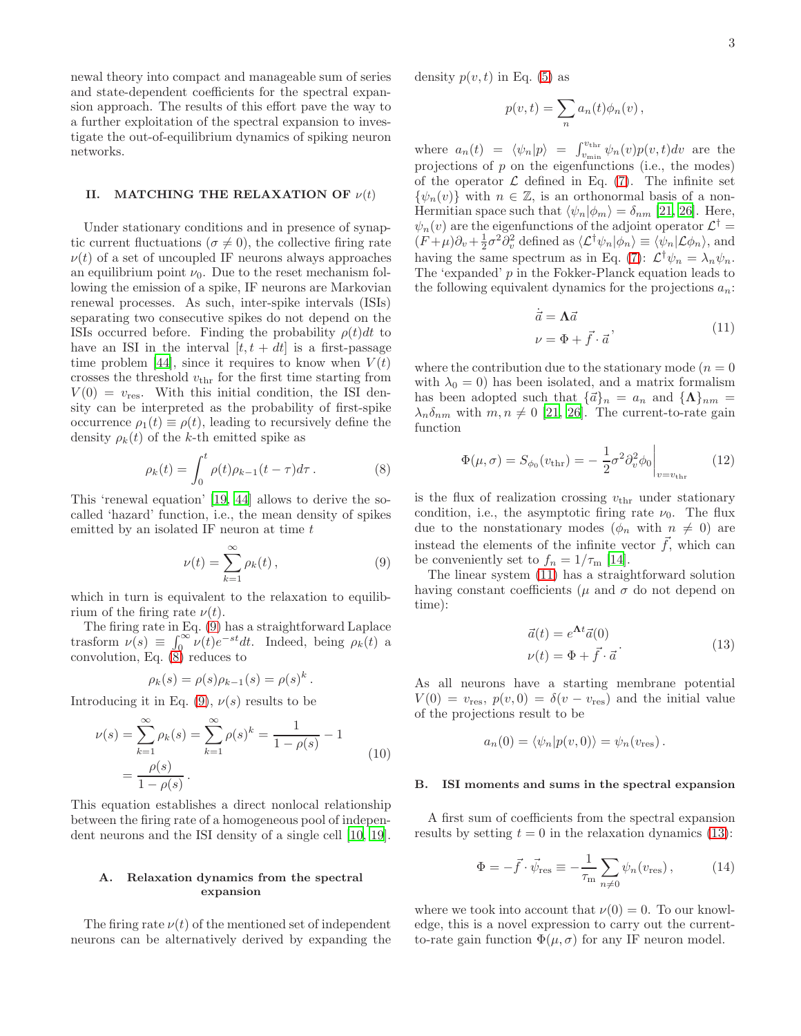newal theory into compact and manageable sum of series and state-dependent coefficients for the spectral expansion approach. The results of this effort pave the way to a further exploitation of the spectral expansion to investigate the out-of-equilibrium dynamics of spiking neuron networks.

### II. MATCHING THE RELAXATION OF  $\nu(t)$

Under stationary conditions and in presence of synaptic current fluctuations ( $\sigma \neq 0$ ), the collective firing rate  $\nu(t)$  of a set of uncoupled IF neurons always approaches an equilibrium point  $\nu_0$ . Due to the reset mechanism following the emission of a spike, IF neurons are Markovian renewal processes. As such, inter-spike intervals (ISIs) separating two consecutive spikes do not depend on the ISIs occurred before. Finding the probability  $\rho(t)dt$  to have an ISI in the interval  $[t, t + dt]$  is a first-passage time problem [\[44\]](#page-10-3), since it requires to know when  $V(t)$ crosses the threshold  $v_{\text{thr}}$  for the first time starting from  $V(0) = v_{\text{res}}$ . With this initial condition, the ISI density can be interpreted as the probability of first-spike occurrence  $\rho_1(t) \equiv \rho(t)$ , leading to recursively define the density  $\rho_k(t)$  of the k-th emitted spike as

<span id="page-2-1"></span>
$$
\rho_k(t) = \int_0^t \rho(t)\rho_{k-1}(t-\tau)d\tau.
$$
 (8)

This 'renewal equation' [\[19,](#page-9-0) [44\]](#page-10-3) allows to derive the socalled 'hazard' function, i.e., the mean density of spikes emitted by an isolated IF neuron at time  $t$ 

<span id="page-2-0"></span>
$$
\nu(t) = \sum_{k=1}^{\infty} \rho_k(t), \qquad (9)
$$

which in turn is equivalent to the relaxation to equilibrium of the firing rate  $\nu(t)$ .

The firing rate in Eq. [\(9\)](#page-2-0) has a straightforward Laplace trasform  $\nu(s) \equiv \int_0^\infty \nu(t)e^{-st}dt$ . Indeed, being  $\rho_k(t)$  a convolution, Eq.  $(8)$  reduces to

$$
\rho_k(s) = \rho(s)\rho_{k-1}(s) = \rho(s)^k.
$$

Introducing it in Eq. [\(9\)](#page-2-0),  $\nu(s)$  results to be

<span id="page-2-4"></span>
$$
\nu(s) = \sum_{k=1}^{\infty} \rho_k(s) = \sum_{k=1}^{\infty} \rho(s)^k = \frac{1}{1 - \rho(s)} - 1
$$
  
= 
$$
\frac{\rho(s)}{1 - \rho(s)}.
$$
 (10)

This equation establishes a direct nonlocal relationship between the firing rate of a homogeneous pool of independent neurons and the ISI density of a single cell [\[10,](#page-9-14) [19\]](#page-9-0).

#### A. Relaxation dynamics from the spectral expansion

The firing rate  $\nu(t)$  of the mentioned set of independent neurons can be alternatively derived by expanding the density  $p(v, t)$  in Eq. [\(5\)](#page-1-1) as

$$
p(v,t) = \sum_{n} a_n(t)\phi_n(v),
$$

where  $a_n(t) = \langle \psi_n | p \rangle = \int_{v_{\min}}^{v_{\text{thr}}} \psi_n(v) p(v, t) dv$  are the projections of  $p$  on the eigenfunctions (i.e., the modes) of the operator  $\mathcal L$  defined in Eq. [\(7\)](#page-1-3). The infinite set  $\{\psi_n(v)\}\$  with  $n \in \mathbb{Z}$ , is an orthonormal basis of a non-Hermitian space such that  $\langle \psi_n | \phi_m \rangle = \delta_{nm}$  [\[21,](#page-10-6) [26](#page-10-5)]. Here,  $\psi_n(v)$  are the eigenfunctions of the adjoint operator  $\mathcal{L}^{\dagger} =$  $(F+\mu)\partial_v + \frac{1}{2}\sigma^2\partial_v^2$  defined as  $\langle \mathcal{L}^{\dagger}\psi_n|\phi_n\rangle \equiv \langle \psi_n|\mathcal{L}\phi_n\rangle$ , and having the same spectrum as in Eq. [\(7\)](#page-1-3):  $\mathcal{L}^{\dagger} \psi_n = \lambda_n \psi_n$ . The 'expanded' p in the Fokker-Planck equation leads to the following equivalent dynamics for the projections  $a_n$ :

$$
\dot{\vec{a}} = \Lambda \vec{a} \n\nu = \Phi + \vec{f} \cdot \vec{a}
$$
\n(11)

<span id="page-2-2"></span>where the contribution due to the stationary mode ( $n = 0$ ) with  $\lambda_0 = 0$ ) has been isolated, and a matrix formalism has been adopted such that  $\{\vec{a}\}_n = a_n$  and  $\{\Lambda\}_{nm} =$  $\lambda_n \delta_{nm}$  with  $m, n \neq 0$  [\[21,](#page-10-6) [26\]](#page-10-5). The current-to-rate gain function

$$
\Phi(\mu, \sigma) = S_{\phi_0}(v_{\text{thr}}) = -\frac{1}{2}\sigma^2 \partial_v^2 \phi_0 \Big|_{v=v_{\text{thr}}} \qquad (12)
$$

is the flux of realization crossing  $v_{\text{thr}}$  under stationary condition, i.e., the asymptotic firing rate  $\nu_0$ . The flux due to the nonstationary modes  $(\phi_n \text{ with } n \neq 0)$  are instead the elements of the infinite vector  $\tilde{f}$ , which can be conveniently set to  $f_n = 1/\tau_{\mathrm{m}}$  [\[14\]](#page-9-15).

The linear system [\(11\)](#page-2-2) has a straightforward solution having constant coefficients ( $\mu$  and  $\sigma$  do not depend on time):

$$
\vec{a}(t) = e^{\mathbf{\Lambda}t}\vec{a}(0) \n\nu(t) = \Phi + \vec{f} \cdot \vec{a}
$$
\n(13)

<span id="page-2-3"></span>As all neurons have a starting membrane potential  $V(0) = v_{\text{res}}$ ,  $p(v, 0) = \delta(v - v_{\text{res}})$  and the initial value of the projections result to be

$$
a_n(0) = \langle \psi_n | p(v, 0) \rangle = \psi_n(v_{\text{res}}).
$$

#### B. ISI moments and sums in the spectral expansion

A first sum of coefficients from the spectral expansion results by setting  $t = 0$  in the relaxation dynamics [\(13\)](#page-2-3):

<span id="page-2-5"></span>
$$
\Phi = -\vec{f} \cdot \vec{\psi}_{\text{res}} \equiv -\frac{1}{\tau_{\text{m}}} \sum_{n \neq 0} \psi_n(v_{\text{res}}), \quad (14)
$$

where we took into account that  $\nu(0) = 0$ . To our knowledge, this is a novel expression to carry out the currentto-rate gain function  $\Phi(\mu, \sigma)$  for any IF neuron model.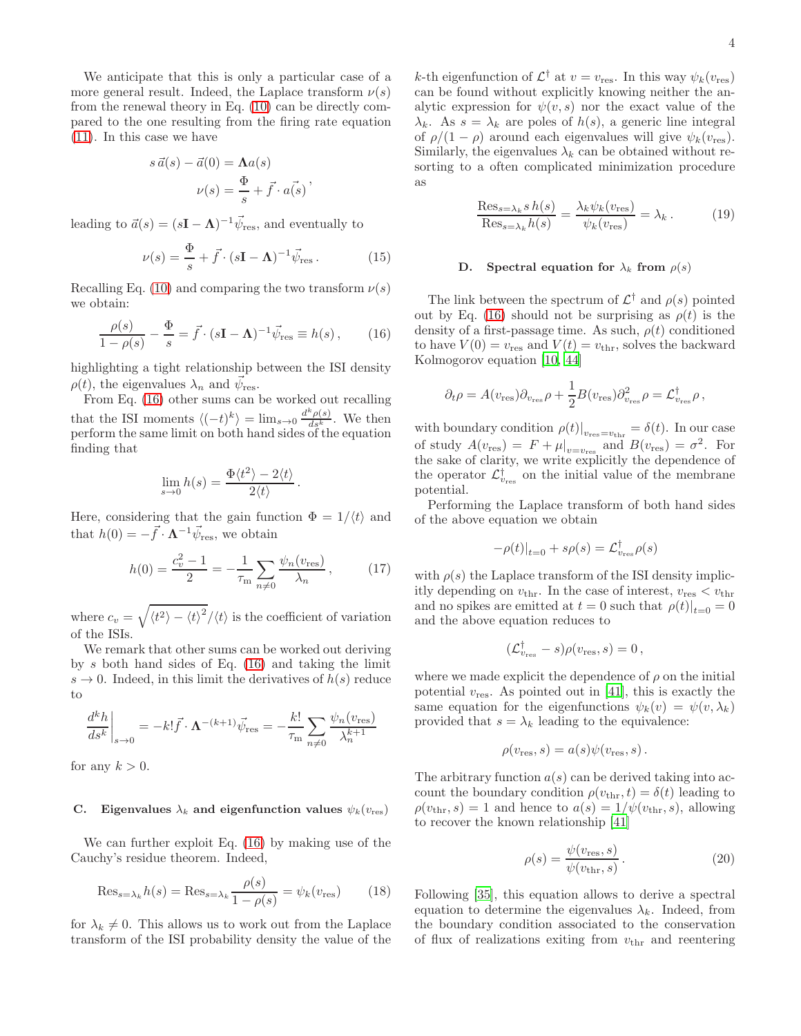We anticipate that this is only a particular case of a more general result. Indeed, the Laplace transform  $\nu(s)$ from the renewal theory in Eq. [\(10\)](#page-2-4) can be directly compared to the one resulting from the firing rate equation [\(11\)](#page-2-2). In this case we have

$$
s\,\vec{a}(s) - \vec{a}(0) = \mathbf{\Lambda}a(s)
$$

$$
\nu(s) = \frac{\Phi}{s} + \vec{f} \cdot \vec{a(s)}
$$

leading to  $\vec{a}(s) = (s\mathbf{I} - \mathbf{\Lambda})^{-1} \vec{\psi}_{\text{res}}$ , and eventually to

$$
\nu(s) = \frac{\Phi}{s} + \vec{f} \cdot (s\mathbf{I} - \mathbf{\Lambda})^{-1} \vec{\psi}_{\text{res}}.
$$
 (15)

Recalling Eq. [\(10\)](#page-2-4) and comparing the two transform  $\nu(s)$ we obtain:

<span id="page-3-0"></span>
$$
\frac{\rho(s)}{1-\rho(s)} - \frac{\Phi}{s} = \vec{f} \cdot (s\mathbf{I} - \mathbf{\Lambda})^{-1} \vec{\psi}_{\text{res}} \equiv h(s) , \qquad (16)
$$

highlighting a tight relationship between the ISI density  $\rho(t)$ , the eigenvalues  $\lambda_n$  and  $\vec{\psi}_{\text{res}}$ .

From Eq. [\(16\)](#page-3-0) other sums can be worked out recalling that the ISI moments  $\langle (-t)^k \rangle = \lim_{s \to 0} \frac{d^k \rho(s)}{ds^k}$ . We then perform the same limit on both hand sides of the equation finding that

$$
\lim_{s \to 0} h(s) = \frac{\Phi \langle t^2 \rangle - 2 \langle t \rangle}{2 \langle t \rangle}.
$$

Here, considering that the gain function  $\Phi = 1/\langle t \rangle$  and that  $h(0) = -\vec{f} \cdot \mathbf{\Lambda}^{-1} \vec{\psi}_{\text{res}}$ , we obtain

$$
h(0) = \frac{c_v^2 - 1}{2} = -\frac{1}{\tau_{\rm m}} \sum_{n \neq 0} \frac{\psi_n(v_{\rm res})}{\lambda_n},\tag{17}
$$

where  $c_v = \sqrt{\langle t^2 \rangle - {\langle t \rangle}^2}/\langle t \rangle$  is the coefficient of variation of the ISIs.

We remark that other sums can be worked out deriving by s both hand sides of Eq.  $(16)$  and taking the limit  $s \to 0$ . Indeed, in this limit the derivatives of  $h(s)$  reduce to

$$
\left. \frac{d^k h}{ds^k} \right|_{s \to 0} = -k! \vec{f} \cdot \mathbf{\Lambda}^{-(k+1)} \vec{\psi}_{\text{res}} = -\frac{k!}{\tau_{\text{m}}} \sum_{n \neq 0} \frac{\psi_n(v_{\text{res}})}{\lambda_n^{k+1}}
$$

for any  $k > 0$ .

#### C. Eigenvalues  $\lambda_k$  and eigenfunction values  $\psi_k(v_{\text{res}})$

We can further exploit Eq. [\(16\)](#page-3-0) by making use of the Cauchy's residue theorem. Indeed,

<span id="page-3-2"></span>
$$
\text{Res}_{s=\lambda_k} h(s) = \text{Res}_{s=\lambda_k} \frac{\rho(s)}{1 - \rho(s)} = \psi_k(v_{\text{res}})
$$
 (18)

for  $\lambda_k \neq 0$ . This allows us to work out from the Laplace transform of the ISI probability density the value of the

k-th eigenfunction of  $\mathcal{L}^{\dagger}$  at  $v = v_{\text{res}}$ . In this way  $\psi_k(v_{\text{res}})$ can be found without explicitly knowing neither the analytic expression for  $\psi(v, s)$  nor the exact value of the  $\lambda_k$ . As  $s = \lambda_k$  are poles of  $h(s)$ , a generic line integral of  $\rho/(1-\rho)$  around each eigenvalues will give  $\psi_k(v_{\text{res}})$ . Similarly, the eigenvalues  $\lambda_k$  can be obtained without resorting to a often complicated minimization procedure as

<span id="page-3-3"></span>
$$
\frac{\text{Res}_{s=\lambda_k} s h(s)}{\text{Res}_{s=\lambda_k} h(s)} = \frac{\lambda_k \psi_k(v_{\text{res}})}{\psi_k(v_{\text{res}})} = \lambda_k.
$$
 (19)

## D. Spectral equation for  $\lambda_k$  from  $\rho(s)$

The link between the spectrum of  $\mathcal{L}^{\dagger}$  and  $\rho(s)$  pointed out by Eq. [\(16\)](#page-3-0) should not be surprising as  $\rho(t)$  is the density of a first-passage time. As such,  $\rho(t)$  conditioned to have  $V(0) = v_{\text{res}}$  and  $V(t) = v_{\text{thr}}$ , solves the backward Kolmogorov equation [\[10](#page-9-14), [44\]](#page-10-3)

$$
\partial_t \rho = A(v_{\text{res}}) \partial_{v_{\text{res}}} \rho + \frac{1}{2} B(v_{\text{res}}) \partial_{v_{\text{res}}}^2 \rho = \mathcal{L}_{v_{\text{res}}}^{\dagger} \rho \,,
$$

with boundary condition  $\rho(t)|_{v_{\text{res}}=v_{\text{thr}}} = \delta(t)$ . In our case of study  $A(v_{\text{res}}) = F + \mu|_{v=v_{\text{res}}}$  and  $B(v_{\text{res}}) = \sigma^2$ . For the sake of clarity, we write explicitly the dependence of the operator  $\mathcal{L}_{v_{\text{res}}}^{\dagger}$  on the initial value of the membrane potential.

Performing the Laplace transform of both hand sides of the above equation we obtain

$$
-\rho(t)|_{t=0} + s\rho(s) = \mathcal{L}_{v_{\text{res}}}^{\dagger} \rho(s)
$$

with  $\rho(s)$  the Laplace transform of the ISI density implicitly depending on  $v_{\text{thr}}$ . In the case of interest,  $v_{\text{res}} < v_{\text{thr}}$ and no spikes are emitted at  $t = 0$  such that  $\rho(t)|_{t=0} = 0$ and the above equation reduces to

$$
(\mathcal{L}_{v_{\text{res}}}^{\dagger} - s)\rho(v_{\text{res}}, s) = 0,
$$

where we made explicit the dependence of  $\rho$  on the initial potential  $v_{\text{res}}$ . As pointed out in [\[41](#page-10-17)], this is exactly the same equation for the eigenfunctions  $\psi_k(v) = \psi(v, \lambda_k)$ provided that  $s = \lambda_k$  leading to the equivalence:

$$
\rho(v_{\text{res}},s) = a(s)\psi(v_{\text{res}},s).
$$

The arbitrary function  $a(s)$  can be derived taking into account the boundary condition  $\rho(v_{\text{thr}}, t) = \delta(t)$  leading to  $\rho(v_{\text{thr}}, s) = 1$  and hence to  $a(s) = 1/\psi(v_{\text{thr}}, s)$ , allowing to recover the known relationship [\[41](#page-10-17)]

<span id="page-3-1"></span>
$$
\rho(s) = \frac{\psi(v_{\text{res}}, s)}{\psi(v_{\text{thr}}, s)}.
$$
\n(20)

Following [\[35\]](#page-10-18), this equation allows to derive a spectral equation to determine the eigenvalues  $\lambda_k$ . Indeed, from the boundary condition associated to the conservation of flux of realizations exiting from  $v_{\text{thr}}$  and reentering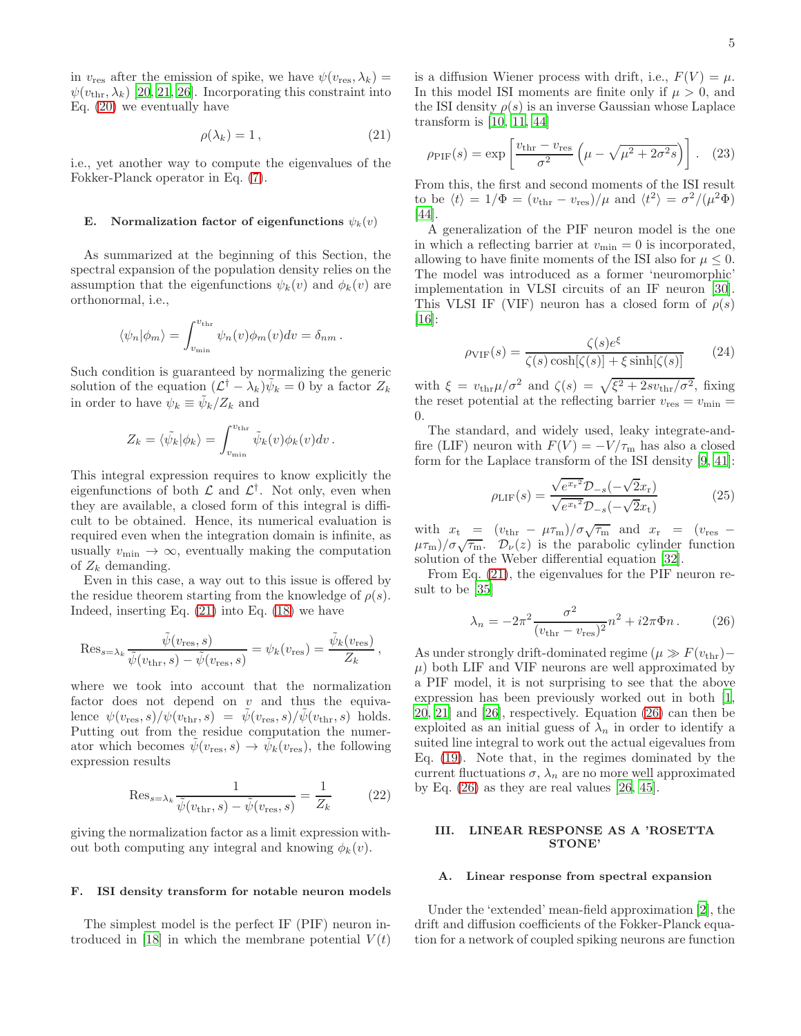in  $v_{\text{res}}$  after the emission of spike, we have  $\psi(v_{\text{res}}, \lambda_k) =$  $\psi(v_{\text{thr}}, \lambda_k)$  [\[20](#page-9-5), [21](#page-10-6), [26\]](#page-10-5). Incorporating this constraint into Eq. [\(20\)](#page-3-1) we eventually have

<span id="page-4-0"></span>
$$
\rho(\lambda_k) = 1 \,, \tag{21}
$$

i.e., yet another way to compute the eigenvalues of the Fokker-Planck operator in Eq. [\(7\)](#page-1-3).

#### E. Normalization factor of eigenfunctions  $\psi_k(v)$

As summarized at the beginning of this Section, the spectral expansion of the population density relies on the assumption that the eigenfunctions  $\psi_k(v)$  and  $\phi_k(v)$  are orthonormal, i.e.,

$$
\langle \psi_n | \phi_m \rangle = \int_{v_{\min}}^{v_{\text{thr}}} \psi_n(v) \phi_m(v) dv = \delta_{nm}.
$$

Such condition is guaranteed by normalizing the generic solution of the equation  $(\mathcal{L}^{\dagger} - \lambda_k)\tilde{\psi}_k = 0$  by a factor  $Z_k$ in order to have  $\psi_k \equiv \tilde{\psi}_k/Z_k$  and

$$
Z_k = \langle \tilde{\psi}_k | \phi_k \rangle = \int_{v_{\rm min}}^{v_{\rm thr}} \tilde{\psi}_k(v) \phi_k(v) dv.
$$

This integral expression requires to know explicitly the eigenfunctions of both  $\mathcal L$  and  $\mathcal L^{\dagger}$ . Not only, even when they are available, a closed form of this integral is difficult to be obtained. Hence, its numerical evaluation is required even when the integration domain is infinite, as usually  $v_{\text{min}} \to \infty$ , eventually making the computation of  $Z_k$  demanding.

Even in this case, a way out to this issue is offered by the residue theorem starting from the knowledge of  $\rho(s)$ . Indeed, inserting Eq.  $(21)$  into Eq.  $(18)$  we have

$$
\text{Res}_{s=\lambda_k} \frac{\tilde{\psi}(v_{\text{res}},s)}{\tilde{\psi}(v_{\text{thr}},s) - \tilde{\psi}(v_{\text{res}},s)} = \psi_k(v_{\text{res}}) = \frac{\tilde{\psi}_k(v_{\text{res}})}{Z_k},
$$

where we took into account that the normalization factor does not depend on  $v$  and thus the equivalence  $\psi(v_{\text{res}}, s)/\psi(v_{\text{thr}}, s) = \psi(v_{\text{res}}, s)/\psi(v_{\text{thr}}, s)$  holds. Putting out from the residue computation the numerator which becomes  $\tilde{\psi}(v_{\text{res}}, s) \to \tilde{\psi}_k(v_{\text{res}})$ , the following expression results

<span id="page-4-2"></span>
$$
\operatorname{Res}_{s=\lambda_k} \frac{1}{\tilde{\psi}(v_{\text{thr}}, s) - \tilde{\psi}(v_{\text{res}}, s)} = \frac{1}{Z_k} \tag{22}
$$

giving the normalization factor as a limit expression without both computing any integral and knowing  $\phi_k(v)$ .

#### F. ISI density transform for notable neuron models

The simplest model is the perfect IF (PIF) neuron in-troduced in [\[18\]](#page-9-16) in which the membrane potential  $V(t)$ 

is a diffusion Wiener process with drift, i.e.,  $F(V) = \mu$ . In this model ISI moments are finite only if  $\mu > 0$ , and the ISI density  $\rho(s)$  is an inverse Gaussian whose Laplace transform is [\[10,](#page-9-14) [11,](#page-9-17) [44\]](#page-10-3)

$$
\rho_{\rm PIF}(s) = \exp\left[\frac{v_{\rm thr} - v_{\rm res}}{\sigma^2} \left(\mu - \sqrt{\mu^2 + 2\sigma^2 s}\right)\right].
$$
 (23)

From this, the first and second moments of the ISI result to be  $\langle t \rangle = 1/\Phi = (v_{\text{thr}} - v_{\text{res}})/\mu$  and  $\langle t^2 \rangle = \sigma^2/(\mu^2 \Phi)$ [\[44\]](#page-10-3).

A generalization of the PIF neuron model is the one in which a reflecting barrier at  $v_{\text{min}} = 0$  is incorporated, allowing to have finite moments of the ISI also for  $\mu \leq 0$ . The model was introduced as a former 'neuromorphic' implementation in VLSI circuits of an IF neuron [\[30\]](#page-10-19). This VLSI IF (VIF) neuron has a closed form of  $\rho(s)$  $|16|$ :

$$
\rho_{\text{VIF}}(s) = \frac{\zeta(s)e^{\xi}}{\zeta(s)\cosh[\zeta(s)] + \xi\sinh[\zeta(s)]}
$$
(24)

with  $\xi = v_{\text{thr}} \mu / \sigma^2$  and  $\zeta(s) = \sqrt{\xi^2 + 2sv_{\text{thr}}/\sigma^2}$ , fixing the reset potential at the reflecting barrier  $v_{\text{res}} = v_{\text{min}} =$ 0.

The standard, and widely used, leaky integrate-andfire (LIF) neuron with  $F(V) = -V/\tau_{\rm m}$  has also a closed form for the Laplace transform of the ISI density [\[9,](#page-9-18) [41\]](#page-10-17):

$$
\rho_{\rm LIF}(s) = \frac{\sqrt{e^{x_{\rm r}}^2} \mathcal{D}_{-s}(-\sqrt{2}x_{\rm r})}{\sqrt{e^{x_{\rm t}}^2} \mathcal{D}_{-s}(-\sqrt{2}x_{\rm t})}
$$
(25)

with  $x_t = (v_{\text{thr}} - \mu \tau_{\text{m}})/\sigma \sqrt{\tau_{\text{m}}}$  and  $x_r = (v_{\text{res}} (\mu \tau_{\text{m}})/\sigma \sqrt{\tau_{\text{m}}}$ .  $\mathcal{D}_{\nu}(z)$  is the parabolic cylinder function solution of the Weber differential equation [\[32\]](#page-10-20).

From Eq. [\(21\)](#page-4-0), the eigenvalues for the PIF neuron result to be [\[35\]](#page-10-18)

<span id="page-4-1"></span>
$$
\lambda_n = -2\pi^2 \frac{\sigma^2}{(v_{\text{thr}} - v_{\text{res}})^2} n^2 + i2\pi \Phi n. \tag{26}
$$

As under strongly drift-dominated regime ( $\mu \gg F(v_{\text{thr}})$  –  $\mu$ ) both LIF and VIF neurons are well approximated by a PIF model, it is not surprising to see that the above expression has been previously worked out in both [\[1](#page-9-6), [20](#page-9-5), [21\]](#page-10-6) and [\[26\]](#page-10-5), respectively. Equation [\(26\)](#page-4-1) can then be exploited as an initial guess of  $\lambda_n$  in order to identify a suited line integral to work out the actual eigevalues from Eq. [\(19\)](#page-3-3). Note that, in the regimes dominated by the current fluctuations  $\sigma$ ,  $\lambda_n$  are no more well approximated by Eq.  $(26)$  as they are real values  $[26, 45]$  $[26, 45]$  $[26, 45]$ .

#### III. LINEAR RESPONSE AS A 'ROSETTA STONE'

#### A. Linear response from spectral expansion

Under the 'extended' mean-field approximation [\[2](#page-9-4)], the drift and diffusion coefficients of the Fokker-Planck equation for a network of coupled spiking neurons are function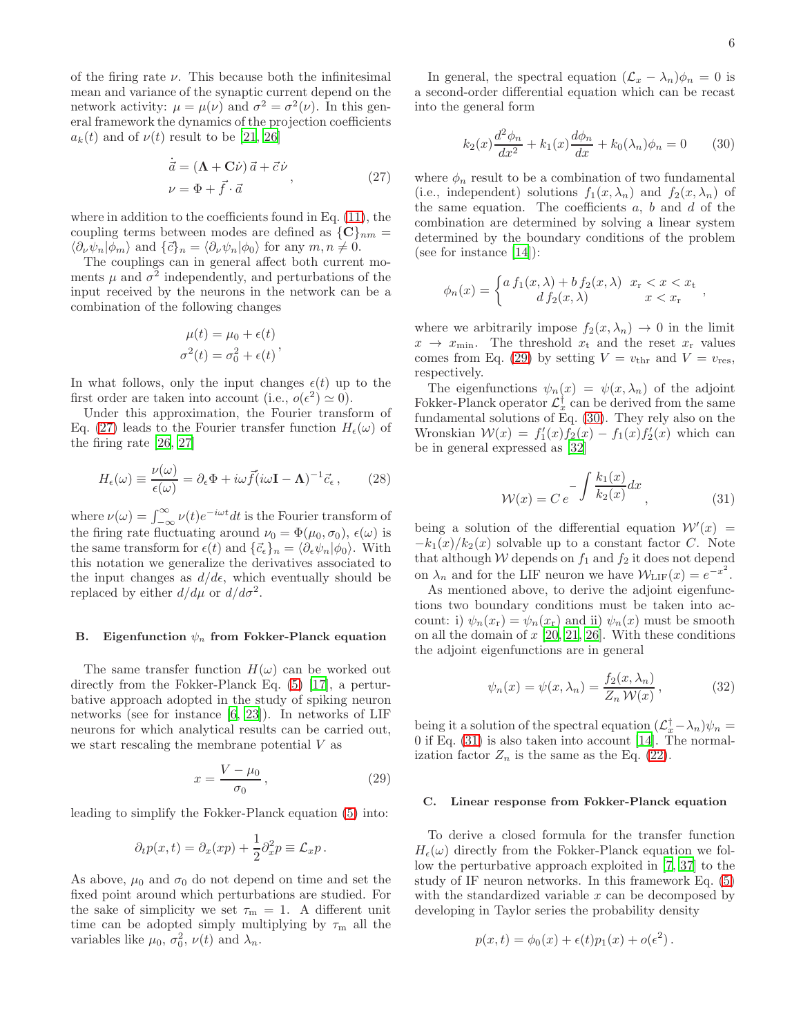of the firing rate  $\nu$ . This because both the infinitesimal mean and variance of the synaptic current depend on the network activity:  $\mu = \mu(\nu)$  and  $\sigma^2 = \sigma^2(\nu)$ . In this general framework the dynamics of the projection coefficients  $a_k(t)$  and of  $\nu(t)$  result to be [\[21,](#page-10-6) [26](#page-10-5)]

$$
\dot{\vec{a}} = (\mathbf{\Lambda} + \mathbf{C}\dot{\nu})\,\vec{a} + \vec{c}\,\dot{\nu} \n\nu = \Phi + \vec{f} \cdot \vec{a}
$$
\n(27)

<span id="page-5-0"></span>where in addition to the coefficients found in Eq. [\(11\)](#page-2-2), the coupling terms between modes are defined as  ${C}_{nm} =$  $\langle \partial_{\nu} \psi_n | \phi_m \rangle$  and  $\{\vec{c}\}_n = \langle \partial_{\nu} \psi_n | \phi_0 \rangle$  for any  $m, n \neq 0$ .

The couplings can in general affect both current moments  $\mu$  and  $\sigma^2$  independently, and perturbations of the input received by the neurons in the network can be a combination of the following changes

$$
\mu(t) = \mu_0 + \epsilon(t)
$$
  

$$
\sigma^2(t) = \sigma_0^2 + \epsilon(t)
$$

In what follows, only the input changes  $\epsilon(t)$  up to the first order are taken into account (i.e.,  $o(\epsilon^2) \simeq 0$ ).

Under this approximation, the Fourier transform of Eq. [\(27\)](#page-5-0) leads to the Fourier transfer function  $H_{\epsilon}(\omega)$  of the firing rate [\[26,](#page-10-5) [27\]](#page-10-16)

<span id="page-5-5"></span>
$$
H_{\epsilon}(\omega) \equiv \frac{\nu(\omega)}{\epsilon(\omega)} = \partial_{\epsilon} \Phi + i\omega \vec{f}(i\omega \mathbf{I} - \mathbf{\Lambda})^{-1} \vec{c}_{\epsilon} , \qquad (28)
$$

where  $\nu(\omega) = \int_{-\infty}^{\infty} \nu(t) e^{-i\omega t} dt$  is the Fourier transform of the firing rate fluctuating around  $\nu_0 = \Phi(\mu_0, \sigma_0)$ ,  $\epsilon(\omega)$  is the same transform for  $\epsilon(t)$  and  $\{\vec{c}_{\epsilon}\}_n = \langle \partial_{\epsilon} \psi_n | \phi_0 \rangle$ . With this notation we generalize the derivatives associated to the input changes as  $d/d\epsilon$ , which eventually should be replaced by either  $d/d\mu$  or  $d/d\sigma^2$ .

#### B. Eigenfunction  $\psi_n$  from Fokker-Planck equation

The same transfer function  $H(\omega)$  can be worked out directly from the Fokker-Planck Eq. [\(5\)](#page-1-1) [\[17\]](#page-9-19), a perturbative approach adopted in the study of spiking neuron networks (see for instance [\[6](#page-9-10), [23\]](#page-10-22)). In networks of LIF neurons for which analytical results can be carried out, we start rescaling the membrane potential V as

<span id="page-5-1"></span>
$$
x = \frac{V - \mu_0}{\sigma_0},\tag{29}
$$

leading to simplify the Fokker-Planck equation [\(5\)](#page-1-1) into:

$$
\partial_t p(x,t) = \partial_x (xp) + \frac{1}{2} \partial_x^2 p \equiv \mathcal{L}_x p \,.
$$

As above,  $\mu_0$  and  $\sigma_0$  do not depend on time and set the fixed point around which perturbations are studied. For the sake of simplicity we set  $\tau_{m} = 1$ . A different unit time can be adopted simply multiplying by  $\tau_{\rm m}$  all the variables like  $\mu_0$ ,  $\sigma_0^2$ ,  $\nu(t)$  and  $\lambda_n$ .

In general, the spectral equation  $(\mathcal{L}_x - \lambda_n)\phi_n = 0$  is a second-order differential equation which can be recast into the general form

<span id="page-5-2"></span>
$$
k_2(x)\frac{d^2\phi_n}{dx^2} + k_1(x)\frac{d\phi_n}{dx} + k_0(\lambda_n)\phi_n = 0
$$
 (30)

where  $\phi_n$  result to be a combination of two fundamental (i.e., independent) solutions  $f_1(x, \lambda_n)$  and  $f_2(x, \lambda_n)$  of the same equation. The coefficients  $a, b$  and  $d$  of the combination are determined by solving a linear system determined by the boundary conditions of the problem (see for instance [\[14\]](#page-9-15)):

$$
\phi_n(x) = \begin{cases} a f_1(x,\lambda) + b f_2(x,\lambda) & x_{\rm r} < x < x_{\rm t} \\ d f_2(x,\lambda) & x < x_{\rm r} \end{cases}
$$

where we arbitrarily impose  $f_2(x, \lambda_n) \to 0$  in the limit  $x \rightarrow x_{\min}$ . The threshold  $x_t$  and the reset  $x_r$  values comes from Eq. [\(29\)](#page-5-1) by setting  $V = v_{\text{thr}}$  and  $V = v_{\text{res}}$ , respectively.

The eigenfunctions  $\psi_n(x) = \psi(x, \lambda_n)$  of the adjoint Fokker-Planck operator  $\mathcal{L}^{\dagger}_{x}$  can be derived from the same fundamental solutions of Eq. [\(30\)](#page-5-2). They rely also on the Wronskian  $W(x) = f_1'(x) f_2(x) - f_1(x) f_2'(x)$  which can be in general expressed as [\[32](#page-10-20)]

<span id="page-5-3"></span>
$$
\mathcal{W}(x) = Ce^{-\int \frac{k_1(x)}{k_2(x)} dx}, \qquad (31)
$$

being a solution of the differential equation  $\mathcal{W}'(x) =$  $-k_1(x)/k_2(x)$  solvable up to a constant factor C. Note that although  $W$  depends on  $f_1$  and  $f_2$  it does not depend on  $\lambda_n$  and for the LIF neuron we have  $\mathcal{W}_{\text{LIF}}(x) = e^{-x^2}$ .

As mentioned above, to derive the adjoint eigenfunctions two boundary conditions must be taken into account: i)  $\psi_n(x_r) = \psi_n(x_r)$  and ii)  $\psi_n(x)$  must be smooth on all the domain of  $x$  [\[20,](#page-9-5) [21,](#page-10-6) [26\]](#page-10-5). With these conditions the adjoint eigenfunctions are in general

<span id="page-5-4"></span>
$$
\psi_n(x) = \psi(x, \lambda_n) = \frac{f_2(x, \lambda_n)}{Z_n \mathcal{W}(x)},
$$
\n(32)

being it a solution of the spectral equation  $(\mathcal{L}_x^{\dagger} - \lambda_n)\psi_n =$ 0 if Eq. [\(31\)](#page-5-3) is also taken into account [\[14](#page-9-15)]. The normalization factor  $Z_n$  is the same as the Eq. [\(22\)](#page-4-2).

#### C. Linear response from Fokker-Planck equation

To derive a closed formula for the transfer function  $H_{\epsilon}(\omega)$  directly from the Fokker-Planck equation we follow the perturbative approach exploited in [\[7](#page-9-3), [37](#page-10-10)] to the study of IF neuron networks. In this framework Eq. [\(5\)](#page-1-1) with the standardized variable  $x$  can be decomposed by developing in Taylor series the probability density

$$
p(x,t) = \phi_0(x) + \epsilon(t)p_1(x) + o(\epsilon^2).
$$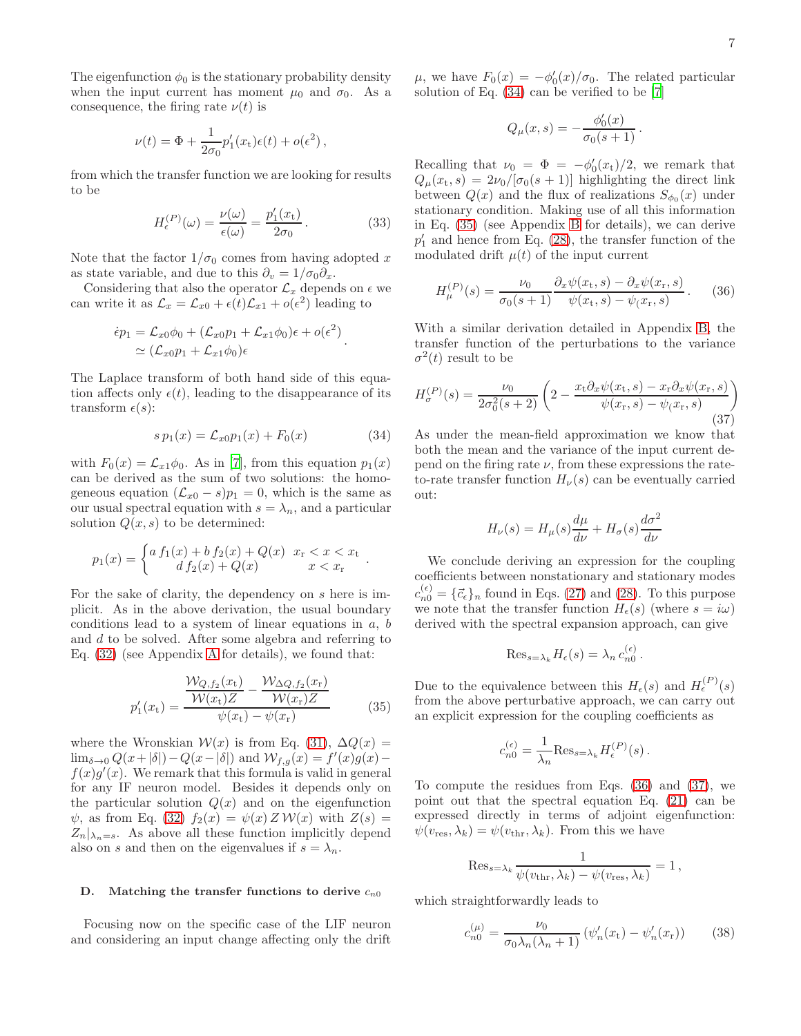The eigenfunction  $\phi_0$  is the stationary probability density when the input current has moment  $\mu_0$  and  $\sigma_0$ . As a consequence, the firing rate  $\nu(t)$  is

$$
\nu(t) = \Phi + \frac{1}{2\sigma_0} p'_1(x_t) \epsilon(t) + o(\epsilon^2),
$$

from which the transfer function we are looking for results to be

<span id="page-6-5"></span>
$$
H_{\epsilon}^{(P)}(\omega) = \frac{\nu(\omega)}{\epsilon(\omega)} = \frac{p_1'(x_{\mathrm{t}})}{2\sigma_0}.
$$
 (33)

Note that the factor  $1/\sigma_0$  comes from having adopted x as state variable, and due to this  $\partial_v = 1/\sigma_0 \partial_x$ .

Considering that also the operator  $\mathcal{L}_x$  depends on  $\epsilon$  we can write it as  $\mathcal{L}_x = \mathcal{L}_{x0} + \epsilon(t)\mathcal{L}_{x1} + o(\epsilon^2)$  leading to

$$
\epsilon p_1 = \mathcal{L}_{x0}\phi_0 + (\mathcal{L}_{x0}p_1 + \mathcal{L}_{x1}\phi_0)\epsilon + o(\epsilon^2)
$$
  
\n
$$
\simeq (\mathcal{L}_{x0}p_1 + \mathcal{L}_{x1}\phi_0)\epsilon
$$

The Laplace transform of both hand side of this equation affects only  $\epsilon(t)$ , leading to the disappearance of its transform  $\epsilon(s)$ :

<span id="page-6-0"></span>
$$
sp_1(x) = \mathcal{L}_{x0}p_1(x) + F_0(x) \tag{34}
$$

with  $F_0(x) = \mathcal{L}_{x1}\phi_0$ . As in [\[7](#page-9-3)], from this equation  $p_1(x)$ can be derived as the sum of two solutions: the homogeneous equation  $(\mathcal{L}_{x0} - s)p_1 = 0$ , which is the same as our usual spectral equation with  $s = \lambda_n$ , and a particular solution  $Q(x, s)$  to be determined:

$$
p_1(x) = \begin{cases} a f_1(x) + b f_2(x) + Q(x) & x_{\rm r} < x < x_{\rm t} \\ d f_2(x) + Q(x) & x < x_{\rm r} \end{cases}.
$$

For the sake of clarity, the dependency on s here is implicit. As in the above derivation, the usual boundary conditions lead to a system of linear equations in  $a, b$ and d to be solved. After some algebra and referring to Eq. [\(32\)](#page-5-4) (see Appendix [A](#page-8-0) for details), we found that:

<span id="page-6-1"></span>
$$
p'_{1}(x_{t}) = \frac{\frac{\mathcal{W}_{Q,f_{2}}(x_{t})}{\mathcal{W}(x_{t})Z} - \frac{\mathcal{W}_{\Delta Q,f_{2}}(x_{r})}{\mathcal{W}(x_{r})Z}}{\psi(x_{t}) - \psi(x_{r})}
$$
(35)

where the Wronskian  $W(x)$  is from Eq. [\(31\)](#page-5-3),  $\Delta Q(x) =$  $\lim_{\delta \to 0} Q(x+|\delta|) - Q(x-|\delta|)$  and  $\mathcal{W}_{f,g}(x) = f'(x)g(x)$  $f(x)g'(x)$ . We remark that this formula is valid in general for any IF neuron model. Besides it depends only on the particular solution  $Q(x)$  and on the eigenfunction  $\psi$ , as from Eq. [\(32\)](#page-5-4)  $f_2(x) = \psi(x) Z W(x)$  with  $Z(s) =$  $Z_n|_{\lambda_n=s}$ . As above all these function implicitly depend also on s and then on the eigenvalues if  $s = \lambda_n$ .

## D. Matching the transfer functions to derive  $c_{n0}$

Focusing now on the specific case of the LIF neuron and considering an input change affecting only the drift

 $\mu$ , we have  $F_0(x) = -\phi'_0(x)/\sigma_0$ . The related particular solution of Eq. [\(34\)](#page-6-0) can be verified to be [\[7](#page-9-3)]

$$
Q_{\mu}(x,s) = -\frac{\phi_0'(x)}{\sigma_0(s+1)}.
$$

Recalling that  $\nu_0 = \Phi = -\phi'_0(x_t)/2$ , we remark that  $Q_{\mu}(x_t, s) = 2\nu_0/[\sigma_0(s+1)]$  highlighting the direct link between  $Q(x)$  and the flux of realizations  $S_{\phi_0}(x)$  under stationary condition. Making use of all this information in Eq. [\(35\)](#page-6-1) (see Appendix [B](#page-8-1) for details), we can derive  $p'_1$  and hence from Eq. [\(28\)](#page-5-5), the transfer function of the modulated drift  $\mu(t)$  of the input current

<span id="page-6-2"></span>
$$
H_{\mu}^{(P)}(s) = \frac{\nu_0}{\sigma_0(s+1)} \frac{\partial_x \psi(x_t, s) - \partial_x \psi(x_r, s)}{\psi(x_t, s) - \psi(x_r, s)}.
$$
 (36)

With a similar derivation detailed in Appendix [B,](#page-8-1) the transfer function of the perturbations to the variance  $\sigma^2(t)$  result to be

<span id="page-6-3"></span>
$$
H_{\sigma}^{(P)}(s) = \frac{\nu_0}{2\sigma_0^2(s+2)} \left(2 - \frac{x_t \partial_x \psi(x_t, s) - x_r \partial_x \psi(x_r, s)}{\psi(x_r, s) - \psi(x_r, s)}\right)
$$
(37)

As under the mean-field approximation we know that both the mean and the variance of the input current depend on the firing rate  $\nu$ , from these expressions the rateto-rate transfer function  $H_{\nu}(s)$  can be eventually carried out:

$$
H_{\nu}(s) = H_{\mu}(s)\frac{d\mu}{d\nu} + H_{\sigma}(s)\frac{d\sigma^2}{d\nu}
$$

We conclude deriving an expression for the coupling coefficients between nonstationary and stationary modes  $c_{n0}^{(\epsilon)} = {\vec{c}_{\epsilon}}_n$  found in Eqs. [\(27\)](#page-5-0) and [\(28\)](#page-5-5). To this purpose we note that the transfer function  $H_{\epsilon}(s)$  (where  $s = i\omega$ ) derived with the spectral expansion approach, can give

$$
\operatorname{Res}_{s=\lambda_k} H_{\epsilon}(s) = \lambda_n c_{n0}^{(\epsilon)}.
$$

Due to the equivalence between this  $H_{\epsilon}(s)$  and  $H_{\epsilon}^{(P)}(s)$ from the above perturbative approach, we can carry out an explicit expression for the coupling coefficients as

$$
c_{n0}^{(\epsilon)} = \frac{1}{\lambda_n} \text{Res}_{s=\lambda_k} H_{\epsilon}^{(P)}(s) .
$$

To compute the residues from Eqs. [\(36\)](#page-6-2) and [\(37\)](#page-6-3), we point out that the spectral equation Eq. [\(21\)](#page-4-0) can be expressed directly in terms of adjoint eigenfunction:  $\psi(v_{\text{res}}, \lambda_k) = \psi(v_{\text{thr}}, \lambda_k)$ . From this we have

$$
\operatorname{Res}_{s=\lambda_k} \frac{1}{\psi(\nu_{\text{thr}}, \lambda_k) - \psi(\nu_{\text{res}}, \lambda_k)} = 1,
$$

which straightforwardly leads to

<span id="page-6-4"></span>
$$
c_{n0}^{(\mu)} = \frac{\nu_0}{\sigma_0 \lambda_n (\lambda_n + 1)} \left( \psi_n'(x_t) - \psi_n'(x_r) \right) \tag{38}
$$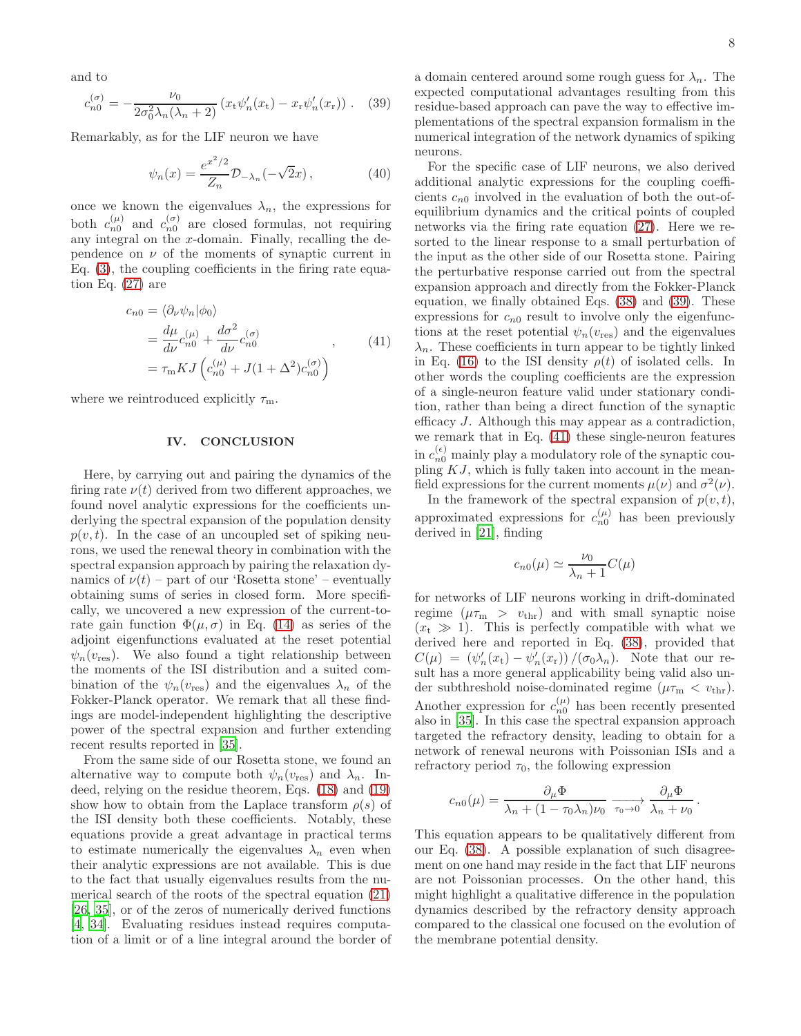and to

<span id="page-7-0"></span>
$$
c_{n0}^{(\sigma)} = -\frac{\nu_0}{2\sigma_0^2 \lambda_n (\lambda_n + 2)} (x_{\rm t} \psi_n'(x_{\rm t}) - x_{\rm r} \psi_n'(x_{\rm r})) \ . \tag{39}
$$

Remarkably, as for the LIF neuron we have

$$
\psi_n(x) = \frac{e^{x^2/2}}{Z_n} \mathcal{D}_{-\lambda_n}(-\sqrt{2}x), \qquad (40)
$$

once we known the eigenvalues  $\lambda_n$ , the expressions for both  $c_{n0}^{(\mu)}$  and  $c_{n0}^{(\sigma)}$  are closed formulas, not requiring any integral on the  $x$ -domain. Finally, recalling the dependence on  $\nu$  of the moments of synaptic current in Eq. [\(3\)](#page-0-2), the coupling coefficients in the firing rate equation Eq. [\(27\)](#page-5-0) are

$$
c_{n0} = \langle \partial_{\nu} \psi_n | \phi_0 \rangle
$$
  
=  $\frac{d\mu}{d\nu} c_{n0}^{(\mu)} + \frac{d\sigma^2}{d\nu} c_{n0}^{(\sigma)}$ , (41)  
=  $\tau_{m} K J \left( c_{n0}^{(\mu)} + J(1 + \Delta^2) c_{n0}^{(\sigma)} \right)$ 

<span id="page-7-1"></span>where we reintroduced explicitly  $\tau_{\rm m}$ .

#### IV. CONCLUSION

Here, by carrying out and pairing the dynamics of the firing rate  $\nu(t)$  derived from two different approaches, we found novel analytic expressions for the coefficients underlying the spectral expansion of the population density  $p(v, t)$ . In the case of an uncoupled set of spiking neurons, we used the renewal theory in combination with the spectral expansion approach by pairing the relaxation dynamics of  $\nu(t)$  – part of our 'Rosetta stone' – eventually obtaining sums of series in closed form. More specifically, we uncovered a new expression of the current-torate gain function  $\Phi(\mu, \sigma)$  in Eq. [\(14\)](#page-2-5) as series of the adjoint eigenfunctions evaluated at the reset potential  $\psi_n(v_{\text{res}})$ . We also found a tight relationship between the moments of the ISI distribution and a suited combination of the  $\psi_n(v_{\text{res}})$  and the eigenvalues  $\lambda_n$  of the Fokker-Planck operator. We remark that all these findings are model-independent highlighting the descriptive power of the spectral expansion and further extending recent results reported in [\[35\]](#page-10-18).

From the same side of our Rosetta stone, we found an alternative way to compute both  $\psi_n(v_{\text{res}})$  and  $\lambda_n$ . Indeed, relying on the residue theorem, Eqs. [\(18\)](#page-3-2) and [\(19\)](#page-3-3) show how to obtain from the Laplace transform  $\rho(s)$  of the ISI density both these coefficients. Notably, these equations provide a great advantage in practical terms to estimate numerically the eigenvalues  $\lambda_n$  even when their analytic expressions are not available. This is due to the fact that usually eigenvalues results from the numerical search of the roots of the spectral equation [\(21\)](#page-4-0) [\[26,](#page-10-5) [35](#page-10-18)], or of the zeros of numerically derived functions [\[4,](#page-9-13) [34](#page-10-23)]. Evaluating residues instead requires computation of a limit or of a line integral around the border of a domain centered around some rough guess for  $\lambda_n$ . The expected computational advantages resulting from this residue-based approach can pave the way to effective implementations of the spectral expansion formalism in the numerical integration of the network dynamics of spiking neurons.

For the specific case of LIF neurons, we also derived additional analytic expressions for the coupling coefficients  $c_{n0}$  involved in the evaluation of both the out-ofequilibrium dynamics and the critical points of coupled networks via the firing rate equation [\(27\)](#page-5-0). Here we resorted to the linear response to a small perturbation of the input as the other side of our Rosetta stone. Pairing the perturbative response carried out from the spectral expansion approach and directly from the Fokker-Planck equation, we finally obtained Eqs. [\(38\)](#page-6-4) and [\(39\)](#page-7-0). These expressions for  $c_{n0}$  result to involve only the eigenfunctions at the reset potential  $\psi_n(v_{\text{res}})$  and the eigenvalues  $\lambda_n$ . These coefficients in turn appear to be tightly linked in Eq. [\(16\)](#page-3-0) to the ISI density  $\rho(t)$  of isolated cells. In other words the coupling coefficients are the expression of a single-neuron feature valid under stationary condition, rather than being a direct function of the synaptic efficacy J. Although this may appear as a contradiction, we remark that in Eq. [\(41\)](#page-7-1) these single-neuron features in  $c_{n0}^{(\epsilon)}$  mainly play a modulatory role of the synaptic coupling  $KJ$ , which is fully taken into account in the meanfield expressions for the current moments  $\mu(\nu)$  and  $\sigma^2(\nu)$ .

In the framework of the spectral expansion of  $p(v, t)$ , approximated expressions for  $c_{n0}^{(\mu)}$  has been previously derived in [\[21](#page-10-6)], finding

$$
c_{n0}(\mu) \simeq \frac{\nu_0}{\lambda_n + 1} C(\mu)
$$

for networks of LIF neurons working in drift-dominated regime  $(\mu \tau_{\rm m} > v_{\rm thr})$  and with small synaptic noise  $(x_t \gg 1)$ . This is perfectly compatible with what we derived here and reported in Eq. [\(38\)](#page-6-4), provided that  $C(\mu) = (\psi'_n(x_t) - \psi'_n(x_r)) / (\sigma_0 \lambda_n)$ . Note that our result has a more general applicability being valid also under subthreshold noise-dominated regime  $(\mu \tau_m < v_{\text{thr}})$ . Another expression for  $c_{n0}^{(\mu)}$  has been recently presented also in [\[35\]](#page-10-18). In this case the spectral expansion approach targeted the refractory density, leading to obtain for a network of renewal neurons with Poissonian ISIs and a refractory period  $\tau_0$ , the following expression

$$
c_{n0}(\mu) = \frac{\partial_{\mu} \Phi}{\lambda_n + (1 - \tau_0 \lambda_n) \nu_0} \xrightarrow[\tau_0 \to 0]{} \frac{\partial_{\mu} \Phi}{\lambda_n + \nu_0}
$$

.

This equation appears to be qualitatively different from our Eq. [\(38\)](#page-6-4). A possible explanation of such disagreement on one hand may reside in the fact that LIF neurons are not Poissonian processes. On the other hand, this might highlight a qualitative difference in the population dynamics described by the refractory density approach compared to the classical one focused on the evolution of the membrane potential density.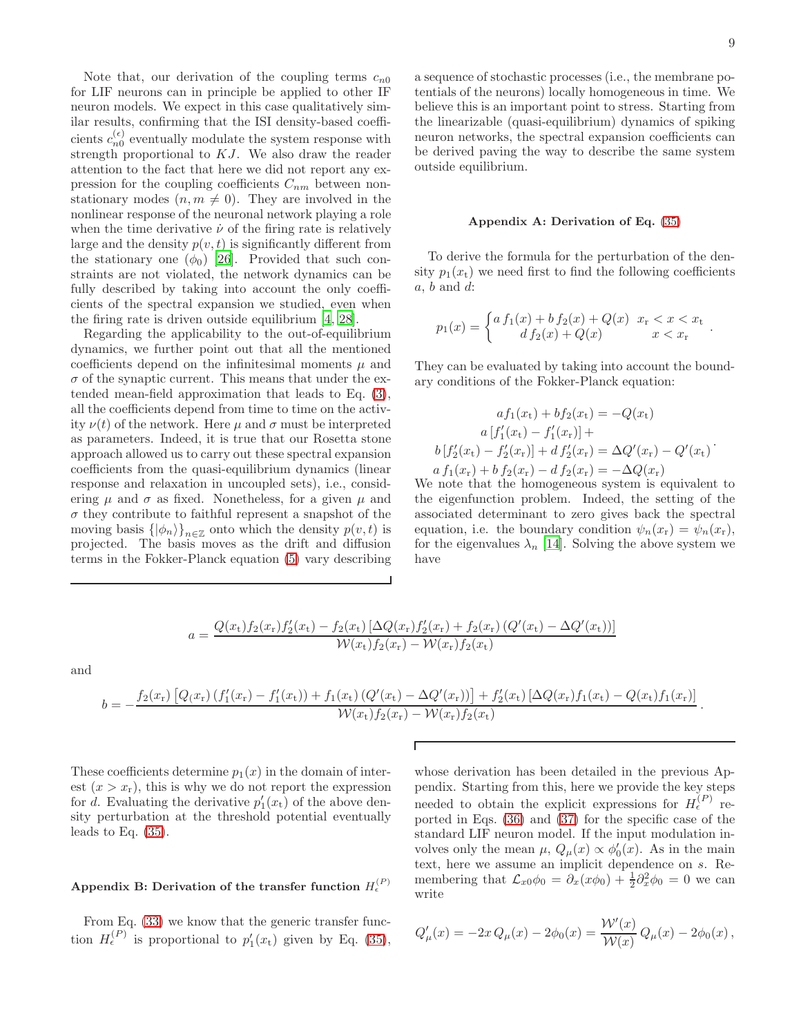Note that, our derivation of the coupling terms  $c_{n0}$ for LIF neurons can in principle be applied to other IF neuron models. We expect in this case qualitatively similar results, confirming that the ISI density-based coefficients  $c_{n0}^{(\epsilon)}$  eventually modulate the system response with strength proportional to KJ. We also draw the reader attention to the fact that here we did not report any expression for the coupling coefficients  $C_{nm}$  between nonstationary modes  $(n, m \neq 0)$ . They are involved in the nonlinear response of the neuronal network playing a role when the time derivative  $\dot{\nu}$  of the firing rate is relatively large and the density  $p(v, t)$  is significantly different from the stationary one  $(\phi_0)$  [\[26\]](#page-10-5). Provided that such constraints are not violated, the network dynamics can be fully described by taking into account the only coefficients of the spectral expansion we studied, even when the firing rate is driven outside equilibrium [\[4](#page-9-13), [28](#page-10-24)].

Regarding the applicability to the out-of-equilibrium dynamics, we further point out that all the mentioned coefficients depend on the infinitesimal moments  $\mu$  and  $\sigma$  of the synaptic current. This means that under the extended mean-field approximation that leads to Eq. [\(3\)](#page-0-2), all the coefficients depend from time to time on the activity  $\nu(t)$  of the network. Here  $\mu$  and  $\sigma$  must be interpreted as parameters. Indeed, it is true that our Rosetta stone approach allowed us to carry out these spectral expansion coefficients from the quasi-equilibrium dynamics (linear response and relaxation in uncoupled sets), i.e., considering  $\mu$  and  $\sigma$  as fixed. Nonetheless, for a given  $\mu$  and  $\sigma$  they contribute to faithful represent a snapshot of the moving basis  $\{\ket{\phi_n}\}_{n\in\mathbb{Z}}$  onto which the density  $p(v, t)$  is projected. The basis moves as the drift and diffusion terms in the Fokker-Planck equation [\(5\)](#page-1-1) vary describing

.

a sequence of stochastic processes (i.e., the membrane potentials of the neurons) locally homogeneous in time. We believe this is an important point to stress. Starting from the linearizable (quasi-equilibrium) dynamics of spiking neuron networks, the spectral expansion coefficients can be derived paving the way to describe the same system outside equilibrium.

#### <span id="page-8-0"></span>Appendix A: Derivation of Eq. [\(35\)](#page-6-1)

To derive the formula for the perturbation of the density  $p_1(x_t)$  we need first to find the following coefficients  $a, b$  and  $d$ :

$$
p_1(x) = \begin{cases} a f_1(x) + b f_2(x) + Q(x) & x_{\rm r} < x < x_{\rm t} \\ d f_2(x) + Q(x) & x < x_{\rm r} \end{cases}
$$

They can be evaluated by taking into account the boundary conditions of the Fokker-Planck equation:

$$
af_1(x_t) + bf_2(x_t) = -Q(x_t)
$$
  
\n
$$
a[f'_1(x_t) - f'_1(x_r)] +
$$
  
\n
$$
b[f'_2(x_t) - f'_2(x_r)] + d f'_2(x_r) = \Delta Q'(x_r) - Q'(x_t)
$$
  
\n
$$
a f_1(x_r) + b f_2(x_r) - d f_2(x_r) = -\Delta Q(x_r)
$$
  
\nWe note that the homogeneous system is equivalent to

the eigenfunction problem. Indeed, the setting of the associated determinant to zero gives back the spectral equation, i.e. the boundary condition  $\psi_n(x_r) = \psi_n(x_r)$ , for the eigenvalues  $\lambda_n$  [\[14\]](#page-9-15). Solving the above system we have

$$
a = \frac{Q(x_t)f_2(x_r)f_2'(x_t) - f_2(x_t)\left[\Delta Q(x_r)f_2'(x_r) + f_2(x_r)\left(Q'(x_t) - \Delta Q'(x_t)\right)\right]}{\mathcal{W}(x_t)f_2(x_r) - \mathcal{W}(x_r)f_2(x_t)}
$$

and

$$
b = -\frac{f_2(x_r)\left[Q(x_r)\left(f'_1(x_r) - f'_1(x_t)\right) + f_1(x_t)\left(Q'(x_t) - \Delta Q'(x_r)\right)\right] + f'_2(x_t)\left[\Delta Q(x_r)f_1(x_t) - Q(x_t)f_1(x_r)\right]}{\mathcal{W}(x_t)f_2(x_r) - \mathcal{W}(x_r)f_2(x_t)}.
$$

Г

These coefficients determine  $p_1(x)$  in the domain of interest  $(x > x_r)$ , this is why we do not report the expression for d. Evaluating the derivative  $p'_1(x_t)$  of the above density perturbation at the threshold potential eventually leads to Eq.  $(35)$ .

# <span id="page-8-1"></span>Appendix B: Derivation of the transfer function  $H_{\epsilon}^{(P)}$

From Eq.  $(33)$  we know that the generic transfer function  $H_{\epsilon}^{(P)}$  is proportional to  $p_1'(x_t)$  given by Eq. [\(35\)](#page-6-1),

whose derivation has been detailed in the previous Appendix. Starting from this, here we provide the key steps needed to obtain the explicit expressions for  $H_{\epsilon}^{(P)}$  reported in Eqs. [\(36\)](#page-6-2) and [\(37\)](#page-6-3) for the specific case of the standard LIF neuron model. If the input modulation involves only the mean  $\mu$ ,  $Q_{\mu}(x) \propto \phi'_0(x)$ . As in the main text, here we assume an implicit dependence on s. Remembering that  $\mathcal{L}_{x0}\phi_0 = \partial_x(x\phi_0) + \frac{1}{2}\partial_x^2\phi_0 = 0$  we can write

$$
Q'_{\mu}(x) = -2x Q_{\mu}(x) - 2\phi_0(x) = \frac{\mathcal{W}'(x)}{\mathcal{W}(x)} Q_{\mu}(x) - 2\phi_0(x) ,
$$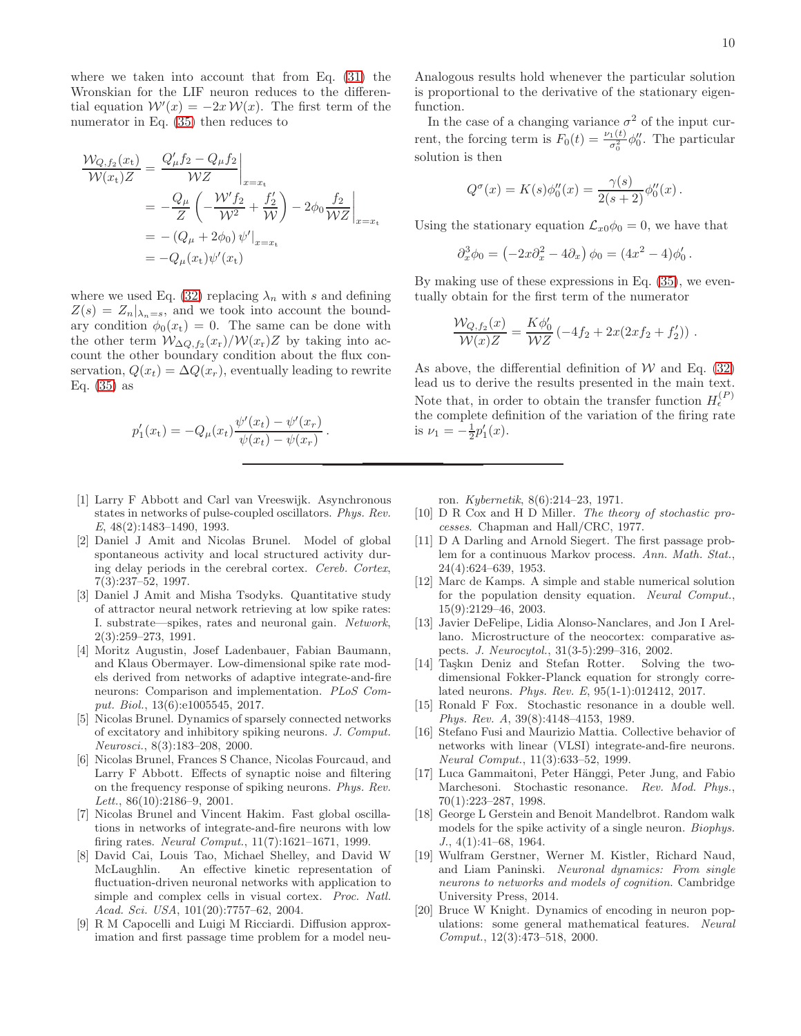where we taken into account that from Eq. [\(31\)](#page-5-3) the Wronskian for the LIF neuron reduces to the differential equation  $W'(x) = -2x W(x)$ . The first term of the numerator in Eq. [\(35\)](#page-6-1) then reduces to

$$
\frac{\mathcal{W}_{Q,f_2}(x_t)}{\mathcal{W}(x_t)Z} = \frac{Q'_{\mu}f_2 - Q_{\mu}f_2}{\mathcal{W}Z}\Big|_{x=x_t}
$$
  
=  $-\frac{Q_{\mu}}{Z} \left( -\frac{\mathcal{W}'f_2}{\mathcal{W}^2} + \frac{f'_2}{\mathcal{W}} \right) - 2\phi_0 \frac{f_2}{\mathcal{W}Z}\Big|_{x=x_t}$   
=  $-(Q_{\mu} + 2\phi_0) \psi'\Big|_{x=x_t}$   
=  $-Q_{\mu}(x_t)\psi'(x_t)$ 

where we used Eq. [\(32\)](#page-5-4) replacing  $\lambda_n$  with s and defining  $Z(s) = Z_n |_{\lambda_n = s}$ , and we took into account the boundary condition  $\phi_0(x_t) = 0$ . The same can be done with the other term  $W_{\Delta Q,f_2}(x_r)/W(x_r)Z$  by taking into account the other boundary condition about the flux conservation,  $Q(x_t) = \Delta Q(x_r)$ , eventually leading to rewrite Eq.  $(35)$  as

$$
p'_1(x_t) = -Q_{\mu}(x_t) \frac{\psi'(x_t) - \psi'(x_r)}{\psi(x_t) - \psi(x_r)}
$$

.

- <span id="page-9-6"></span>[1] Larry F Abbott and Carl van Vreeswijk. Asynchronous states in networks of pulse-coupled oscillators. *Phys. Rev. E*, 48(2):1483–1490, 1993.
- <span id="page-9-4"></span>[2] Daniel J Amit and Nicolas Brunel. Model of global spontaneous activity and local structured activity during delay periods in the cerebral cortex. *Cereb. Cortex*, 7(3):237–52, 1997.
- <span id="page-9-2"></span>[3] Daniel J Amit and Misha Tsodyks. Quantitative study of attractor neural network retrieving at low spike rates: I. substrate—spikes, rates and neuronal gain. *Network*, 2(3):259–273, 1991.
- <span id="page-9-13"></span>[4] Moritz Augustin, Josef Ladenbauer, Fabian Baumann, and Klaus Obermayer. Low-dimensional spike rate models derived from networks of adaptive integrate-and-fire neurons: Comparison and implementation. *PLoS Comput. Biol.*, 13(6):e1005545, 2017.
- <span id="page-9-11"></span>[5] Nicolas Brunel. Dynamics of sparsely connected networks of excitatory and inhibitory spiking neurons. *J. Comput. Neurosci.*, 8(3):183–208, 2000.
- <span id="page-9-10"></span>[6] Nicolas Brunel, Frances S Chance, Nicolas Fourcaud, and Larry F Abbott. Effects of synaptic noise and filtering on the frequency response of spiking neurons. *Phys. Rev. Lett.*, 86(10):2186–9, 2001.
- <span id="page-9-3"></span>[7] Nicolas Brunel and Vincent Hakim. Fast global oscillations in networks of integrate-and-fire neurons with low firing rates. *Neural Comput.*, 11(7):1621–1671, 1999.
- <span id="page-9-8"></span>[8] David Cai, Louis Tao, Michael Shelley, and David W McLaughlin. An effective kinetic representation of fluctuation-driven neuronal networks with application to simple and complex cells in visual cortex. *Proc. Natl. Acad. Sci. USA*, 101(20):7757–62, 2004.
- <span id="page-9-18"></span>[9] R M Capocelli and Luigi M Ricciardi. Diffusion approximation and first passage time problem for a model neu-

Analogous results hold whenever the particular solution is proportional to the derivative of the stationary eigenfunction.

In the case of a changing variance  $\sigma^2$  of the input current, the forcing term is  $F_0(t) = \frac{\nu_1(t)}{\sigma_0^2} \phi_0''$ . The particular solution is then

$$
Q^{\sigma}(x) = K(s)\phi_0''(x) = \frac{\gamma(s)}{2(s+2)}\phi_0''(x).
$$

Using the stationary equation  $\mathcal{L}_{x0}\phi_0 = 0$ , we have that

$$
\partial_x^3 \phi_0 = \left(-2x \partial_x^2 - 4\partial_x\right) \phi_0 = (4x^2 - 4)\phi'_0.
$$

By making use of these expressions in Eq. [\(35\)](#page-6-1), we eventually obtain for the first term of the numerator

$$
\frac{\mathcal{W}_{Q,f_2}(x)}{\mathcal{W}(x)Z} = \frac{K\phi'_0}{\mathcal{W}Z} \left(-4f_2 + 2x(2xf_2 + f'_2)\right).
$$

As above, the differential definition of  $W$  and Eq. [\(32\)](#page-5-4) lead us to derive the results presented in the main text. Note that, in order to obtain the transfer function  $H_{\epsilon}^{(P)}$ the complete definition of the variation of the firing rate is  $\nu_1 = -\frac{1}{2}p'_1(x)$ .

ron. *Kybernetik*, 8(6):214–23, 1971.

- <span id="page-9-14"></span>[10] D R Cox and H D Miller. *The theory of stochastic processes*. Chapman and Hall/CRC, 1977.
- <span id="page-9-17"></span>[11] D A Darling and Arnold Siegert. The first passage problem for a continuous Markov process. *Ann. Math. Stat.*, 24(4):624–639, 1953.
- <span id="page-9-9"></span>[12] Marc de Kamps. A simple and stable numerical solution for the population density equation. *Neural Comput.*, 15(9):2129–46, 2003.
- <span id="page-9-1"></span>[13] Javier DeFelipe, Lidia Alonso-Nanclares, and Jon I Arellano. Microstructure of the neocortex: comparative aspects. *J. Neurocytol.*, 31(3-5):299–316, 2002.
- <span id="page-9-15"></span>[14] Taşkın Deniz and Stefan Rotter. Solving the twodimensional Fokker-Planck equation for strongly correlated neurons. *Phys. Rev. E*, 95(1-1):012412, 2017.
- <span id="page-9-12"></span>[15] Ronald F Fox. Stochastic resonance in a double well. *Phys. Rev. A*, 39(8):4148–4153, 1989.
- <span id="page-9-7"></span>[16] Stefano Fusi and Maurizio Mattia. Collective behavior of networks with linear (VLSI) integrate-and-fire neurons. *Neural Comput.*, 11(3):633–52, 1999.
- <span id="page-9-19"></span>[17] Luca Gammaitoni, Peter Hänggi, Peter Jung, and Fabio Marchesoni. Stochastic resonance. *Rev. Mod. Phys.*, 70(1):223–287, 1998.
- <span id="page-9-16"></span>[18] George L Gerstein and Benoit Mandelbrot. Random walk models for the spike activity of a single neuron. *Biophys. J.*, 4(1):41–68, 1964.
- <span id="page-9-0"></span>[19] Wulfram Gerstner, Werner M. Kistler, Richard Naud, and Liam Paninski. *Neuronal dynamics: From single neurons to networks and models of cognition*. Cambridge University Press, 2014.
- <span id="page-9-5"></span>[20] Bruce W Knight. Dynamics of encoding in neuron populations: some general mathematical features. *Neural Comput.*, 12(3):473–518, 2000.